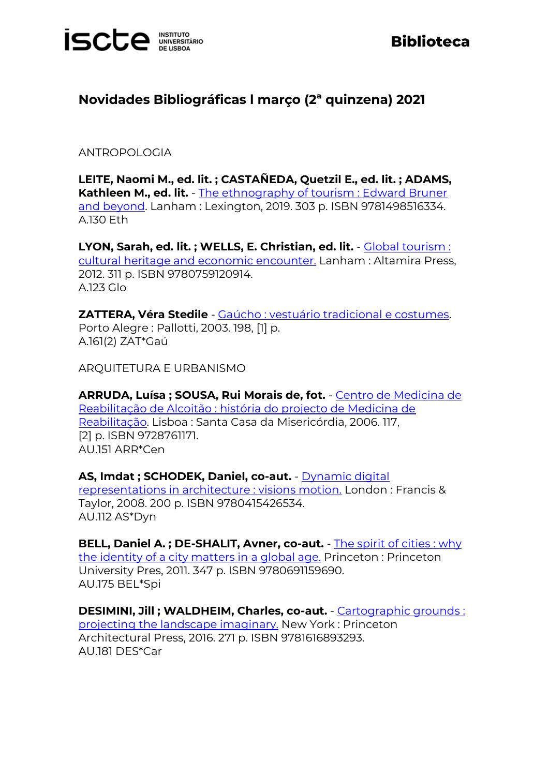

## **Biblioteca**

## **Novidades Bibliográficas l março (2ª quinzena) 2021**

ANTROPOLOGIA

**LEITE, Naomi M., ed. lit. ; CASTAÑEDA, Quetzil E., ed. lit. ; ADAMS, Kathleen M., ed. lit.** - [The ethnography of tourism : Edward Bruner](https://catalogo.biblioteca.iscte-iul.pt/cgi-bin/koha/opac-detail.pl?biblionumber=107629)  [and beyond.](https://catalogo.biblioteca.iscte-iul.pt/cgi-bin/koha/opac-detail.pl?biblionumber=107629) Lanham : Lexington, 2019. 303 p. ISBN 9781498516334. A.130 Eth

**LYON, Sarah, ed. lit. ; WELLS, E. Christian, ed. lit.** - [Global tourism :](https://catalogo.biblioteca.iscte-iul.pt/cgi-bin/koha/opac-detail.pl?biblionumber=107630)  [cultural heritage and economic encounter.](https://catalogo.biblioteca.iscte-iul.pt/cgi-bin/koha/opac-detail.pl?biblionumber=107630) Lanham : Altamira Press, 2012. 311 p. ISBN 9780759120914. A.123 Glo

**ZATTERA, Véra Stedile** - [Gaúcho : vestuário tradicional e costumes.](https://catalogo.biblioteca.iscte-iul.pt/cgi-bin/koha/opac-detail.pl?biblionumber=100891) Porto Alegre : Pallotti, 2003. 198, [1] p. A.161(2) ZAT\*Gaú

ARQUITETURA E URBANISMO

**ARRUDA, Luísa ; SOUSA, Rui Morais de, fot.** - [Centro de Medicina de](https://catalogo.biblioteca.iscte-iul.pt/cgi-bin/koha/opac-detail.pl?biblionumber=105034)  [Reabilitação de Alcoitão : história do projecto de Medicina de](https://catalogo.biblioteca.iscte-iul.pt/cgi-bin/koha/opac-detail.pl?biblionumber=105034)  [Reabilitação.](https://catalogo.biblioteca.iscte-iul.pt/cgi-bin/koha/opac-detail.pl?biblionumber=105034) Lisboa : Santa Casa da Misericórdia, 2006. 117, [2] p. ISBN 9728761171. AU.151 ARR\*Cen

**AS, Imdat ; SCHODEK, Daniel, co-aut.** - [Dynamic digital](https://catalogo.biblioteca.iscte-iul.pt/cgi-bin/koha/opac-detail.pl?biblionumber=107536)  [representations in architecture : visions motion.](https://catalogo.biblioteca.iscte-iul.pt/cgi-bin/koha/opac-detail.pl?biblionumber=107536) London : Francis & Taylor, 2008. 200 p. ISBN 9780415426534. AU.112 AS\*Dyn

**BELL, Daniel A.; DE-SHALIT, Avner, co-aut.** - The spirit of cities: why the identity of [a city matters in a global age.](https://catalogo.biblioteca.iscte-iul.pt/cgi-bin/koha/opac-detail.pl?biblionumber=107643) Princeton : Princeton University Pres, 2011. 347 p. ISBN 9780691159690. AU.175 BEL\*Spi

**DESIMINI, Jill ; WALDHEIM, Charles, co-aut.** - [Cartographic grounds :](https://catalogo.biblioteca.iscte-iul.pt/cgi-bin/koha/opac-detail.pl?biblionumber=107543)  [projecting the landscape imaginary.](https://catalogo.biblioteca.iscte-iul.pt/cgi-bin/koha/opac-detail.pl?biblionumber=107543) New York : Princeton Architectural Press, 2016. 271 p. ISBN 9781616893293. AU.181 DES\*Car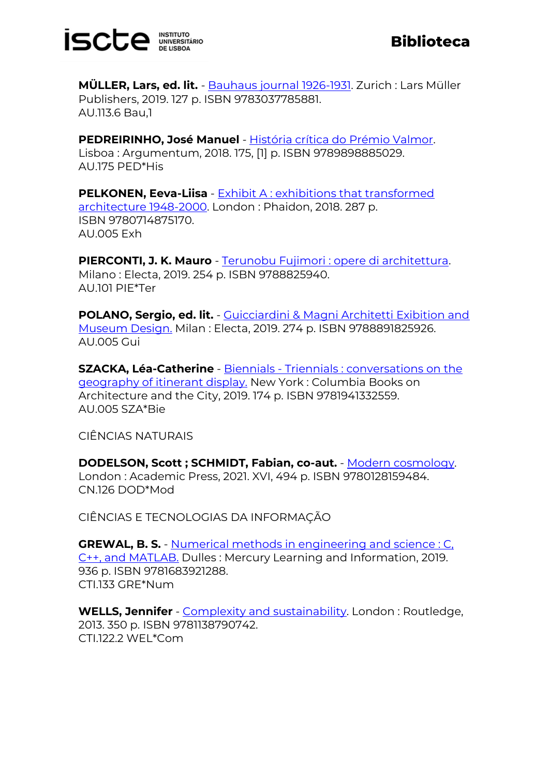

**MÜLLER, Lars, ed. lit.** - [Bauhaus journal 1926-1931.](https://catalogo.biblioteca.iscte-iul.pt/cgi-bin/koha/opac-detail.pl?biblionumber=107548) Zurich : Lars Müller Publishers, 2019. 127 p. ISBN 9783037785881. AU.113.6 Bau,1

**PEDREIRINHO, José Manuel** - [História crítica do Prémio Valmor.](https://catalogo.biblioteca.iscte-iul.pt/cgi-bin/koha/opac-detail.pl?biblionumber=105982) Lisboa : Argumentum, 2018. 175, [1] p. ISBN 9789898885029. AU.175 PED\*His

**PELKONEN, Eeva-Liisa** - [Exhibit A : exhibitions that transformed](https://catalogo.biblioteca.iscte-iul.pt/cgi-bin/koha/opac-detail.pl?biblionumber=107637)  [architecture 1948-2000.](https://catalogo.biblioteca.iscte-iul.pt/cgi-bin/koha/opac-detail.pl?biblionumber=107637) London : Phaidon, 2018. 287 p. ISBN 9780714875170. AU.005 Exh

**PIERCONTI, J. K. Mauro** - [Terunobu Fujimori : opere di architettura.](https://catalogo.biblioteca.iscte-iul.pt/cgi-bin/koha/opac-detail.pl?biblionumber=107703) Milano : Electa, 2019. 254 p. ISBN 9788825940. AU.101 PIE\*Ter

**POLANO, Sergio, ed. lit.** - Guicciardini & [Magni Architetti Exibition and](https://catalogo.biblioteca.iscte-iul.pt/cgi-bin/koha/opac-detail.pl?biblionumber=107702)  [Museum Design.](https://catalogo.biblioteca.iscte-iul.pt/cgi-bin/koha/opac-detail.pl?biblionumber=107702) Milan : Electa, 2019. 274 p. ISBN 9788891825926. AU.005 Gui

**SZACKA, Léa-Catherine** - Biennials - [Triennials : conversations on the](https://catalogo.biblioteca.iscte-iul.pt/cgi-bin/koha/opac-detail.pl?biblionumber=107639)  [geography of itinerant display.](https://catalogo.biblioteca.iscte-iul.pt/cgi-bin/koha/opac-detail.pl?biblionumber=107639) New York : Columbia Books on Architecture and the City, 2019. 174 p. ISBN 9781941332559. AU.005 SZA\*Bie

CIÊNCIAS NATURAIS

**DODELSON, Scott ; SCHMIDT, Fabian, co-aut.** - [Modern cosmology.](https://catalogo.biblioteca.iscte-iul.pt/cgi-bin/koha/opac-detail.pl?biblionumber=108471) London : Academic Press, 2021. XVI, 494 p. ISBN 9780128159484. CN.126 DOD\*Mod

CIÊNCIAS E TECNOLOGIAS DA INFORMAÇÃO

**GREWAL, B. S.** - [Numerical methods in engineering and science : C,](https://catalogo.biblioteca.iscte-iul.pt/cgi-bin/koha/opac-detail.pl?biblionumber=107628)  [C++, and MATLAB.](https://catalogo.biblioteca.iscte-iul.pt/cgi-bin/koha/opac-detail.pl?biblionumber=107628) Dulles : Mercury Learning and Information, 2019. 936 p. ISBN 9781683921288. CTI.133 GRE\*Num

**WELLS, Jennifer** - [Complexity and sustainability.](https://catalogo.biblioteca.iscte-iul.pt/cgi-bin/koha/opac-detail.pl?biblionumber=107634) London : Routledge, 2013. 350 p. ISBN 9781138790742. CTI.122.2 WEL\*Com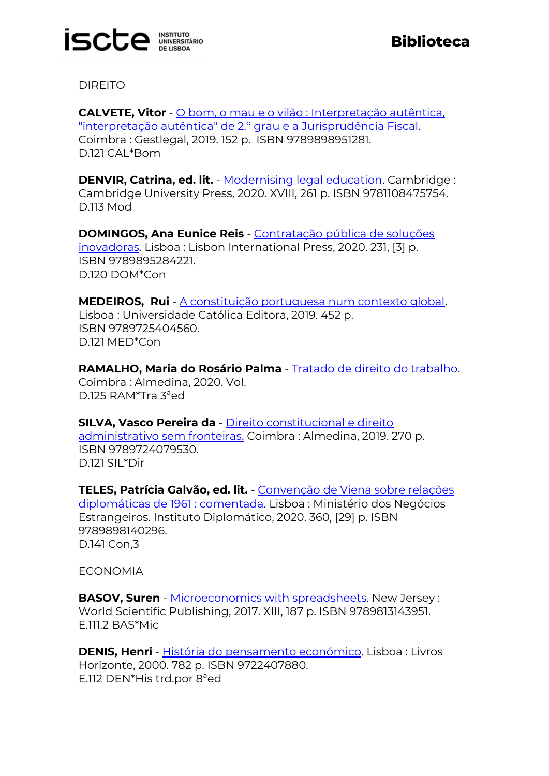

DIREITO

**CALVETE, Vitor** - [O bom, o mau e o vilão : Interpretação autêntica,](https://catalogo.biblioteca.iscte-iul.pt/cgi-bin/koha/opac-detail.pl?biblionumber=108701)  ["interpretação autêntica" de 2.º grau e a Jurisprudência Fiscal.](https://catalogo.biblioteca.iscte-iul.pt/cgi-bin/koha/opac-detail.pl?biblionumber=108701) Coimbra : Gestlegal, 2019. 152 p. ISBN 9789898951281. D.121 CAL\*Bom

**DENVIR, Catrina, ed. lit.** - [Modernising legal education.](https://catalogo.biblioteca.iscte-iul.pt/cgi-bin/koha/opac-detail.pl?biblionumber=108690) Cambridge : Cambridge University Press, 2020. XVIII, 261 p. ISBN 9781108475754. D.113 Mod

**DOMINGOS, Ana Eunice Reis** - [Contratação pública de soluções](https://catalogo.biblioteca.iscte-iul.pt/cgi-bin/koha/opac-detail.pl?biblionumber=110913)  [inovadoras.](https://catalogo.biblioteca.iscte-iul.pt/cgi-bin/koha/opac-detail.pl?biblionumber=110913) Lisboa : Lisbon International Press, 2020. 231, [3] p. ISBN 9789895284221. D.120 DOM\*Con

**MEDEIROS, Rui** - [A constituição portuguesa num contexto global.](https://catalogo.biblioteca.iscte-iul.pt/cgi-bin/koha/opac-detail.pl?biblionumber=108697) Lisboa : Universidade Católica Editora, 2019. 452 p. ISBN 9789725404560. D.121 MED\*Con

**RAMALHO, Maria do Rosário Palma** - [Tratado de direito do trabalho.](https://catalogo.biblioteca.iscte-iul.pt/cgi-bin/koha/opac-detail.pl?biblionumber=107778) Coimbra : Almedina, 2020. Vol. D.125 RAM\*Tra 3ªed

**SILVA, Vasco Pereira da** - [Direito constitucional e direito](https://catalogo.biblioteca.iscte-iul.pt/cgi-bin/koha/opac-detail.pl?biblionumber=108693)  [administrativo sem fronteiras.](https://catalogo.biblioteca.iscte-iul.pt/cgi-bin/koha/opac-detail.pl?biblionumber=108693) Coimbra : Almedina, 2019. 270 p. ISBN 9789724079530. D.121 SIL\*Dir

**TELES, Patrícia Galvão, ed. lit.** - [Convenção de Viena sobre relações](https://catalogo.biblioteca.iscte-iul.pt/cgi-bin/koha/opac-detail.pl?biblionumber=110914)  [diplomáticas de 1961 : comentada.](https://catalogo.biblioteca.iscte-iul.pt/cgi-bin/koha/opac-detail.pl?biblionumber=110914) Lisboa : Ministério dos Negócios Estrangeiros. Instituto Diplomático, 2020. 360, [29] p. ISBN 9789898140296. D.141 Con,3

ECONOMIA

**BASOV, Suren** - [Microeconomics with spreadsheets.](https://catalogo.biblioteca.iscte-iul.pt/cgi-bin/koha/opac-detail.pl?biblionumber=109129) New Jersey: World Scientific Publishing, 2017. XIII, 187 p. ISBN 9789813143951. E.111.2 BAS\*Mic

**DENIS, Henri** - [História do pensamento económico.](https://catalogo.biblioteca.iscte-iul.pt/cgi-bin/koha/opac-detail.pl?biblionumber=108873) Lisboa : Livros Horizonte, 2000. 782 p. ISBN 9722407880. E.112 DEN\*His trd.por 8ªed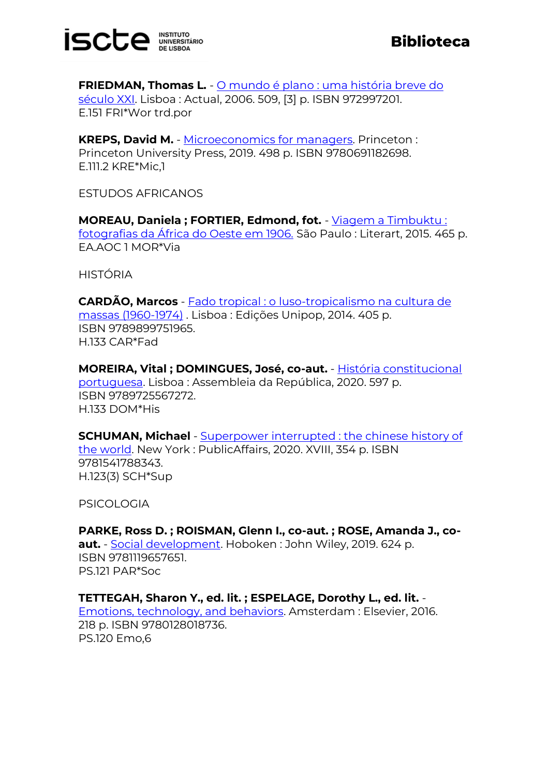

**FRIEDMAN, Thomas L.** - O mundo é plano : uma história breve do [século XXI.](https://catalogo.biblioteca.iscte-iul.pt/cgi-bin/koha/opac-detail.pl?biblionumber=108883) Lisboa : Actual, 2006. 509, [3] p. ISBN 972997201. E.151 FRI\*Wor trd.por

**KREPS, David M.** - [Microeconomics for managers.](https://catalogo.biblioteca.iscte-iul.pt/cgi-bin/koha/opac-detail.pl?biblionumber=107653) Princeton : Princeton University Press, 2019. 498 p. ISBN 9780691182698. E.111.2 KRE\*Mic,1

ESTUDOS AFRICANOS

**MOREAU, Daniela ; FORTIER, Edmond, fot.** - [Viagem a Timbuktu :](https://catalogo.biblioteca.iscte-iul.pt/cgi-bin/koha/opac-detail.pl?biblionumber=93977)  [fotografias da África do Oeste em 1906.](https://catalogo.biblioteca.iscte-iul.pt/cgi-bin/koha/opac-detail.pl?biblionumber=93977) São Paulo : Literart, 2015. 465 p. EA.AOC 1 MOR\*Via

HISTÓRIA

**CARDÃO, Marcos** - [Fado tropical : o luso-tropicalismo na cultura de](https://catalogo.biblioteca.iscte-iul.pt/cgi-bin/koha/opac-detail.pl?biblionumber=109209)  [massas \(1960-1974\)](https://catalogo.biblioteca.iscte-iul.pt/cgi-bin/koha/opac-detail.pl?biblionumber=109209) . Lisboa : Edições Unipop, 2014. 405 p. ISBN 9789899751965. H.133 CAR\*Fad

**MOREIRA, Vital ; DOMINGUES, José, co-aut.** - [História constitucional](https://catalogo.biblioteca.iscte-iul.pt/cgi-bin/koha/opac-detail.pl?biblionumber=109214)  [portuguesa.](https://catalogo.biblioteca.iscte-iul.pt/cgi-bin/koha/opac-detail.pl?biblionumber=109214) Lisboa : Assembleia da República, 2020. 597 p. ISBN 9789725567272. H.133 DOM\*His

**SCHUMAN, Michael** - [Superpower interrupted : the chinese history of](https://catalogo.biblioteca.iscte-iul.pt/cgi-bin/koha/opac-detail.pl?biblionumber=108091)  [the world.](https://catalogo.biblioteca.iscte-iul.pt/cgi-bin/koha/opac-detail.pl?biblionumber=108091) New York : PublicAffairs, 2020. XVIII, 354 p. ISBN 9781541788343. H.123(3) SCH\*Sup

PSICOLOGIA

**PARKE, Ross D. ; ROISMAN, Glenn I., co-aut. ; ROSE, Amanda J., coaut.** - [Social development.](https://catalogo.biblioteca.iscte-iul.pt/cgi-bin/koha/opac-detail.pl?biblionumber=107654) Hoboken: John Wiley, 2019. 624 p. ISBN 9781119657651. PS.121 PAR\*Soc

**TETTEGAH, Sharon Y., ed. lit. ; ESPELAGE, Dorothy L., ed. lit.** - [Emotions, technology, and behaviors.](https://catalogo.biblioteca.iscte-iul.pt/cgi-bin/koha/opac-detail.pl?biblionumber=107697) Amsterdam : Elsevier, 2016. 218 p. ISBN 9780128018736. PS.120 Emo,6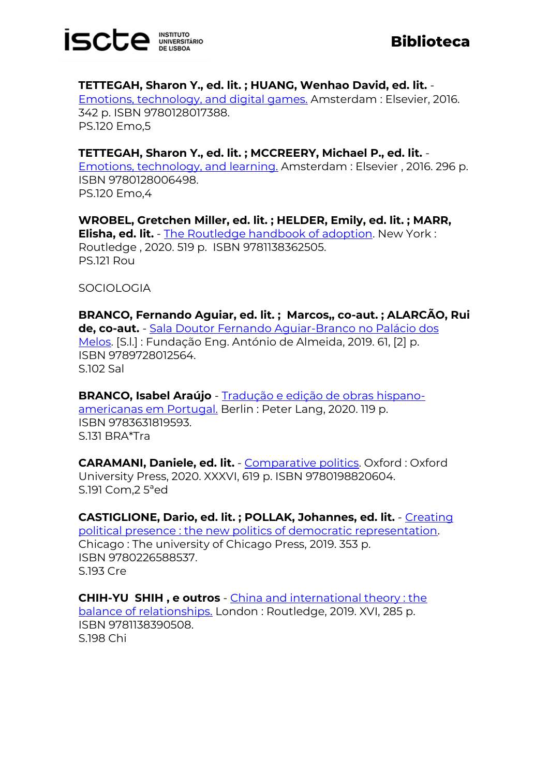

**Biblioteca**

**TETTEGAH, Sharon Y., ed. lit. ; HUANG, Wenhao David, ed. lit.** - [Emotions, technology, and digital games.](https://catalogo.biblioteca.iscte-iul.pt/cgi-bin/koha/opac-detail.pl?biblionumber=107699) Amsterdam : Elsevier, 2016. 342 p. ISBN 9780128017388. PS.120 Emo,5

**TETTEGAH, Sharon Y., ed. lit. ; MCCREERY, Michael P., ed. lit.** - [Emotions, technology, and learning.](https://catalogo.biblioteca.iscte-iul.pt/cgi-bin/koha/opac-detail.pl?biblionumber=107698) Amsterdam : Elsevier , 2016. 296 p. ISBN 9780128006498. PS.120 Emo,4

**WROBEL, Gretchen Miller, ed. lit. ; HELDER, Emily, ed. lit. ; MARR, Elisha, ed. lit.** - [The Routledge handbook of adoption.](https://catalogo.biblioteca.iscte-iul.pt/cgi-bin/koha/opac-detail.pl?biblionumber=107627) New York: Routledge , 2020. 519 p. ISBN 9781138362505. PS.121 Rou

SOCIOI OGIA

**BRANCO, Fernando Aguiar, ed. lit. ; Marcos,, co-aut. ; ALARCÃO, Rui de, co-aut.** - [Sala Doutor Fernando Aguiar-Branco no Palácio dos](https://catalogo.biblioteca.iscte-iul.pt/cgi-bin/koha/opac-detail.pl?biblionumber=105488)  [Melos.](https://catalogo.biblioteca.iscte-iul.pt/cgi-bin/koha/opac-detail.pl?biblionumber=105488) [S.l.] : Fundação Eng. António de Almeida, 2019. 61, [2] p. ISBN 9789728012564. S.102 Sal

**BRANCO, Isabel Araújo** - [Tradução e edição de obras hispano](https://catalogo.biblioteca.iscte-iul.pt/cgi-bin/koha/opac-detail.pl?biblionumber=109211)[americanas em Portugal.](https://catalogo.biblioteca.iscte-iul.pt/cgi-bin/koha/opac-detail.pl?biblionumber=109211) Berlin : Peter Lang, 2020. 119 p. ISBN 9783631819593. S.131 BRA\*Tra

**CARAMANI, Daniele, ed. lit.** - [Comparative politics.](https://catalogo.biblioteca.iscte-iul.pt/cgi-bin/koha/opac-detail.pl?biblionumber=108581) Oxford : Oxford University Press, 2020. XXXVI, 619 p. ISBN 9780198820604. S.191 Com,2 5ªed

**CASTIGLIONE, Dario, ed. lit. ; POLLAK, Johannes, ed. lit.** - [Creating](https://catalogo.biblioteca.iscte-iul.pt/cgi-bin/koha/opac-detail.pl?biblionumber=107642)  [political presence : the new politics of democratic representation.](https://catalogo.biblioteca.iscte-iul.pt/cgi-bin/koha/opac-detail.pl?biblionumber=107642) Chicago : The university of Chicago Press, 2019. 353 p. ISBN 9780226588537. S.193 Cre

**CHIH-YU SHIH , e outros** - [China and international theory : the](https://catalogo.biblioteca.iscte-iul.pt/cgi-bin/koha/opac-detail.pl?biblionumber=108090)  [balance of relationships.](https://catalogo.biblioteca.iscte-iul.pt/cgi-bin/koha/opac-detail.pl?biblionumber=108090) London : Routledge, 2019. XVI, 285 p. ISBN 9781138390508. S.198 Chi